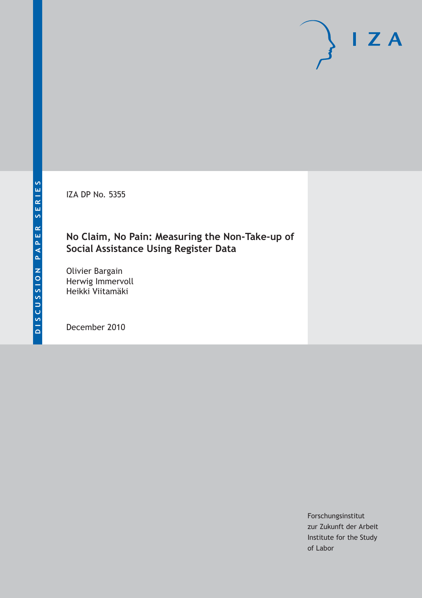IZA DP No. 5355

# **No Claim, No Pain: Measuring the Non-Take-up of Social Assistance Using Register Data**

Olivier Bargain Herwig Immervoll Heikki Viitamäki

December 2010

Forschungsinstitut zur Zukunft der Arbeit Institute for the Study of Labor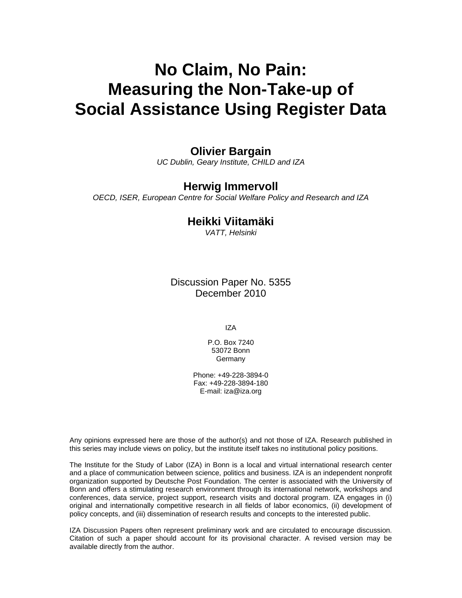# **No Claim, No Pain: Measuring the Non-Take-up of Social Assistance Using Register Data**

# **Olivier Bargain**

*UC Dublin, Geary Institute, CHILD and IZA* 

# **Herwig Immervoll**

*OECD, ISER, European Centre for Social Welfare Policy and Research and IZA* 

# **Heikki Viitamäki**

*VATT, Helsinki* 

Discussion Paper No. 5355 December 2010

IZA

P.O. Box 7240 53072 Bonn Germany

Phone: +49-228-3894-0 Fax: +49-228-3894-180 E-mail: iza@iza.org

Any opinions expressed here are those of the author(s) and not those of IZA. Research published in this series may include views on policy, but the institute itself takes no institutional policy positions.

The Institute for the Study of Labor (IZA) in Bonn is a local and virtual international research center and a place of communication between science, politics and business. IZA is an independent nonprofit organization supported by Deutsche Post Foundation. The center is associated with the University of Bonn and offers a stimulating research environment through its international network, workshops and conferences, data service, project support, research visits and doctoral program. IZA engages in (i) original and internationally competitive research in all fields of labor economics, (ii) development of policy concepts, and (iii) dissemination of research results and concepts to the interested public.

IZA Discussion Papers often represent preliminary work and are circulated to encourage discussion. Citation of such a paper should account for its provisional character. A revised version may be available directly from the author.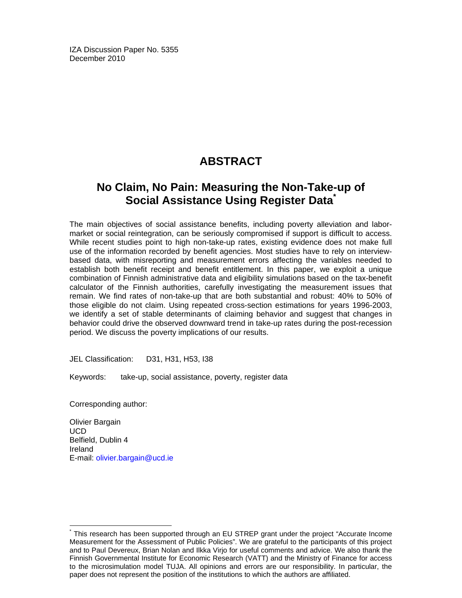IZA Discussion Paper No. 5355 December 2010

# **ABSTRACT**

# **No Claim, No Pain: Measuring the Non-Take-up of Social Assistance Using Register Data\***

The main objectives of social assistance benefits, including poverty alleviation and labormarket or social reintegration, can be seriously compromised if support is difficult to access. While recent studies point to high non-take-up rates, existing evidence does not make full use of the information recorded by benefit agencies. Most studies have to rely on interviewbased data, with misreporting and measurement errors affecting the variables needed to establish both benefit receipt and benefit entitlement. In this paper, we exploit a unique combination of Finnish administrative data and eligibility simulations based on the tax-benefit calculator of the Finnish authorities, carefully investigating the measurement issues that remain. We find rates of non-take-up that are both substantial and robust: 40% to 50% of those eligible do not claim. Using repeated cross-section estimations for years 1996-2003, we identify a set of stable determinants of claiming behavior and suggest that changes in behavior could drive the observed downward trend in take-up rates during the post-recession period. We discuss the poverty implications of our results.

JEL Classification: D31, H31, H53, I38

Keywords: take-up, social assistance, poverty, register data

Corresponding author:

-

Olivier Bargain UCD Belfield, Dublin 4 Ireland E-mail: olivier.bargain@ucd.ie

<sup>\*</sup> This research has been supported through an EU STREP grant under the project "Accurate Income Measurement for the Assessment of Public Policies". We are grateful to the participants of this project and to Paul Devereux, Brian Nolan and Ilkka Virjo for useful comments and advice. We also thank the Finnish Governmental Institute for Economic Research (VATT) and the Ministry of Finance for access to the microsimulation model TUJA. All opinions and errors are our responsibility. In particular, the paper does not represent the position of the institutions to which the authors are affiliated.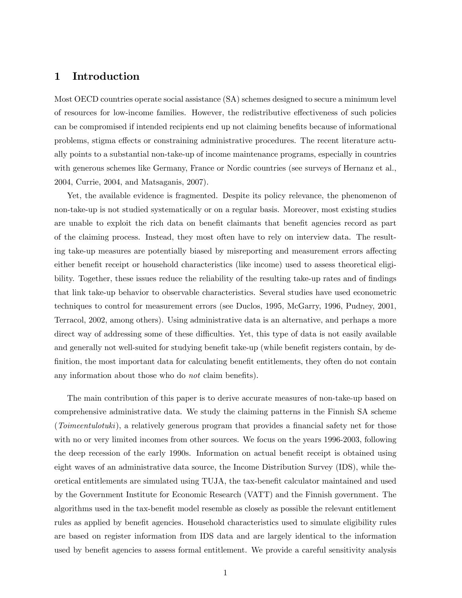# 1 Introduction

Most OECD countries operate social assistance (SA) schemes designed to secure a minimum level of resources for low-income families. However, the redistributive effectiveness of such policies can be compromised if intended recipients end up not claiming benefits because of informational problems, stigma effects or constraining administrative procedures. The recent literature actually points to a substantial non-take-up of income maintenance programs, especially in countries with generous schemes like Germany, France or Nordic countries (see surveys of Hernanz et al., 2004, Currie, 2004, and Matsaganis, 2007).

Yet, the available evidence is fragmented. Despite its policy relevance, the phenomenon of non-take-up is not studied systematically or on a regular basis. Moreover, most existing studies are unable to exploit the rich data on benefit claimants that benefit agencies record as part of the claiming process. Instead, they most often have to rely on interview data. The resulting take-up measures are potentially biased by misreporting and measurement errors affecting either benefit receipt or household characteristics (like income) used to assess theoretical eligibility. Together, these issues reduce the reliability of the resulting take-up rates and of findings that link take-up behavior to observable characteristics. Several studies have used econometric techniques to control for measurement errors (see Duclos, 1995, McGarry, 1996, Pudney, 2001, Terracol, 2002, among others). Using administrative data is an alternative, and perhaps a more direct way of addressing some of these difficulties. Yet, this type of data is not easily available and generally not well-suited for studying benefit take-up (while benefit registers contain, by definition, the most important data for calculating benefit entitlements, they often do not contain any information about those who do *not* claim benefits).

The main contribution of this paper is to derive accurate measures of non-take-up based on comprehensive administrative data. We study the claiming patterns in the Finnish SA scheme (*Toimeentulotuki*), a relatively generous program that provides a financial safety net for those with no or very limited incomes from other sources. We focus on the years 1996-2003, following the deep recession of the early 1990s. Information on actual benefit receipt is obtained using eight waves of an administrative data source, the Income Distribution Survey (IDS), while theoretical entitlements are simulated using TUJA, the tax-benefit calculator maintained and used by the Government Institute for Economic Research (VATT) and the Finnish government. The algorithms used in the tax-benefit model resemble as closely as possible the relevant entitlement rules as applied by benefit agencies. Household characteristics used to simulate eligibility rules are based on register information from IDS data and are largely identical to the information used by benefit agencies to assess formal entitlement. We provide a careful sensitivity analysis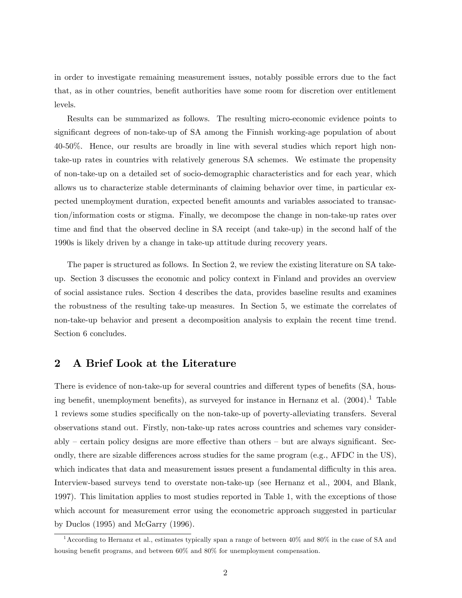in order to investigate remaining measurement issues, notably possible errors due to the fact that, as in other countries, benefit authorities have some room for discretion over entitlement levels.

Results can be summarized as follows. The resulting micro-economic evidence points to significant degrees of non-take-up of SA among the Finnish working-age population of about 40-50%. Hence, our results are broadly in line with several studies which report high nontake-up rates in countries with relatively generous SA schemes. We estimate the propensity of non-take-up on a detailed set of socio-demographic characteristics and for each year, which allows us to characterize stable determinants of claiming behavior over time, in particular expected unemployment duration, expected benefit amounts and variables associated to transaction/information costs or stigma. Finally, we decompose the change in non-take-up rates over time and find that the observed decline in SA receipt (and take-up) in the second half of the 1990s is likely driven by a change in take-up attitude during recovery years.

The paper is structured as follows. In Section 2, we review the existing literature on SA takeup. Section 3 discusses the economic and policy context in Finland and provides an overview of social assistance rules. Section 4 describes the data, provides baseline results and examines the robustness of the resulting take-up measures. In Section 5, we estimate the correlates of non-take-up behavior and present a decomposition analysis to explain the recent time trend. Section 6 concludes.

### 2 A Brief Look at the Literature

There is evidence of non-take-up for several countries and different types of benefits (SA, housing benefit, unemployment benefits), as surveyed for instance in Hernanz et al.  $(2004)^{1}$  Table 1 reviews some studies specifically on the non-take-up of poverty-alleviating transfers. Several observations stand out. Firstly, non-take-up rates across countries and schemes vary considerably  $\sim$  certain policy designs are more effective than others  $\sim$  but are always significant. Secondly, there are sizable differences across studies for the same program (e.g.,  $\rm AFDC$  in the US), which indicates that data and measurement issues present a fundamental difficulty in this area. Interview-based surveys tend to overstate non-take-up (see Hernanz et al., 2004, and Blank, 1997). This limitation applies to most studies reported in Table 1, with the exceptions of those which account for measurement error using the econometric approach suggested in particular by Duclos (1995) and McGarry (1996).

<sup>1</sup>According to Hernanz et al., estimates typically span a range of between 40% and 80% in the case of SA and housing benefit programs, and between  $60\%$  and  $80\%$  for unemployment compensation.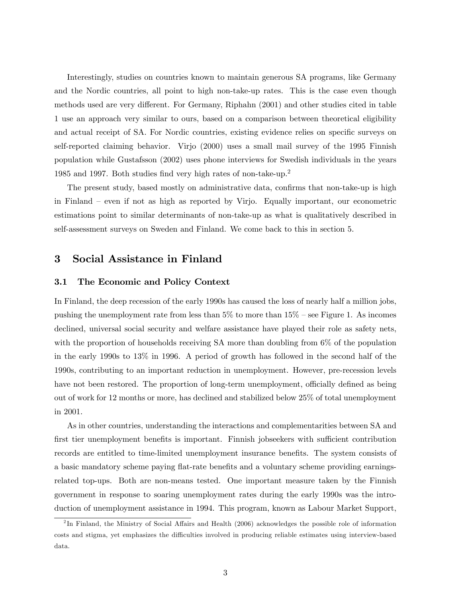Interestingly, studies on countries known to maintain generous SA programs, like Germany and the Nordic countries, all point to high non-take-up rates. This is the case even though methods used are very different. For Germany, Riphahn (2001) and other studies cited in table 1 use an approach very similar to ours, based on a comparison between theoretical eligibility and actual receipt of SA. For Nordic countries, existing evidence relies on specific surveys on self-reported claiming behavior. Virjo (2000) uses a small mail survey of the 1995 Finnish population while Gustafsson (2002) uses phone interviews for Swedish individuals in the years 1985 and 1997. Both studies find very high rates of non-take-up.<sup>2</sup>

The present study, based mostly on administrative data, confirms that non-take-up is high in Finland  $\sim$  even if not as high as reported by Virjo. Equally important, our econometric estimations point to similar determinants of non-take-up as what is qualitatively described in self-assessment surveys on Sweden and Finland. We come back to this in section 5.

### 3 Social Assistance in Finland

#### 3.1 The Economic and Policy Context

In Finland, the deep recession of the early 1990s has caused the loss of nearly half a million jobs, pushing the unemployment rate from less than  $5\%$  to more than  $15\%$  – see Figure 1. As incomes declined, universal social security and welfare assistance have played their role as safety nets, with the proportion of households receiving SA more than doubling from  $6\%$  of the population in the early 1990s to 13% in 1996. A period of growth has followed in the second half of the 1990s, contributing to an important reduction in unemployment. However, pre-recession levels have not been restored. The proportion of long-term unemployment, officially defined as being out of work for 12 months or more, has declined and stabilized below 25% of total unemployment in 2001.

As in other countries, understanding the interactions and complementarities between SA and first tier unemployment benefits is important. Finnish jobseekers with sufficient contribution records are entitled to time-limited unemployment insurance benefits. The system consists of a basic mandatory scheme paying flat-rate benefits and a voluntary scheme providing earningsrelated top-ups. Both are non-means tested. One important measure taken by the Finnish government in response to soaring unemployment rates during the early 1990s was the introduction of unemployment assistance in 1994. This program, known as Labour Market Support,

 $^{2}$ In Finland, the Ministry of Social Affairs and Health (2006) acknowledges the possible role of information costs and stigma, yet emphasizes the difficulties involved in producing reliable estimates using interview-based data.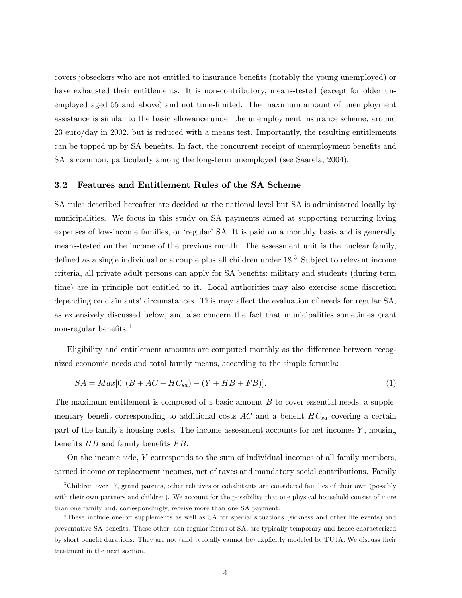covers jobseekers who are not entitled to insurance benefits (notably the young unemployed) or have exhausted their entitlements. It is non-contributory, means-tested (except for older unemployed aged 55 and above) and not time-limited. The maximum amount of unemployment assistance is similar to the basic allowance under the unemployment insurance scheme, around 23 euro/day in 2002, but is reduced with a means test. Importantly, the resulting entitlements can be topped up by SA benefits. In fact, the concurrent receipt of unemployment benefits and SA is common, particularly among the long-term unemployed (see Saarela, 2004).

#### 3.2 Features and Entitlement Rules of the SA Scheme

SA rules described hereafter are decided at the national level but SA is administered locally by municipalities. We focus in this study on SA payments aimed at supporting recurring living expenses of low-income families, or 'regular' SA. It is paid on a monthly basis and is generally means-tested on the income of the previous month. The assessment unit is the nuclear family, defined as a single individual or a couple plus all children under  $18<sup>3</sup>$  Subject to relevant income criteria, all private adult persons can apply for SA benefits; military and students (during term time) are in principle not entitled to it. Local authorities may also exercise some discretion depending on claimants' circumstances. This may affect the evaluation of needs for regular SA, as extensively discussed below, and also concern the fact that municipalities sometimes grant non-regular benefits. $4$ 

Eligibility and entitlement amounts are computed monthly as the difference between recognized economic needs and total family means, according to the simple formula:

$$
SA = Max[0; (B + AC + HC_{sa}) - (Y + HB + FB)].
$$
\n(1)

The maximum entitlement is composed of a basic amount  $B$  to cover essential needs, a supplementary benefit corresponding to additional costs  $AC$  and a benefit  $HC_{sa}$  covering a certain part of the family's housing costs. The income assessment accounts for net incomes  $Y$ , housing benefits  $HB$  and family benefits  $FB$ .

On the income side, Y corresponds to the sum of individual incomes of all family members, earned income or replacement incomes, net of taxes and mandatory social contributions. Family

<sup>&</sup>lt;sup>3</sup>Children over 17, grand parents, other relatives or cohabitants are considered families of their own (possibly with their own partners and children). We account for the possibility that one physical household consist of more than one family and, correspondingly, receive more than one SA payment.

<sup>&</sup>lt;sup>4</sup>These include one-off supplements as well as SA for special situations (sickness and other life events) and preventative SA benefits. These other, non-regular forms of SA, are typically temporary and hence characterized by short benefit durations. They are not (and typically cannot be) explicitly modeled by TUJA. We discuss their treatment in the next section.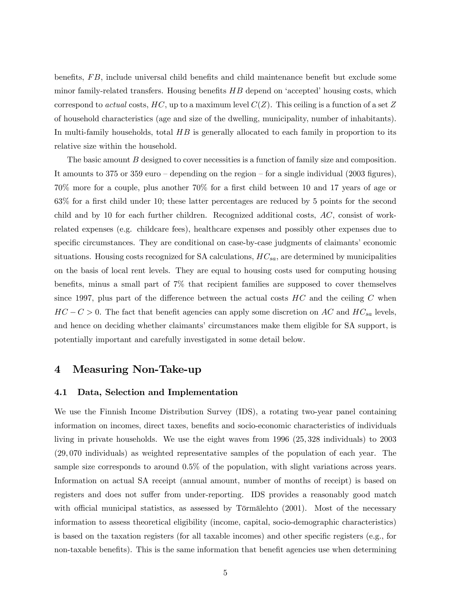benefits,  $FB$ , include universal child benefits and child maintenance benefit but exclude some minor family-related transfers. Housing benefits  $HB$  depend on 'accepted' housing costs, which correspond to actual costs, HC, up to a maximum level  $C(Z)$ . This ceiling is a function of a set Z of household characteristics (age and size of the dwelling, municipality, number of inhabitants). In multi-family households, total  $HB$  is generally allocated to each family in proportion to its relative size within the household.

The basic amount B designed to cover necessities is a function of family size and composition. It amounts to 375 or 359 euro – depending on the region – for a single individual (2003 figures),  $70\%$  more for a couple, plus another  $70\%$  for a first child between 10 and 17 years of age or  $63\%$  for a first child under 10; these latter percentages are reduced by 5 points for the second child and by 10 for each further children. Recognized additional costs, AC, consist of workrelated expenses (e.g. childcare fees), healthcare expenses and possibly other expenses due to specific circumstances. They are conditional on case-by-case judgments of claimants' economic situations. Housing costs recognized for SA calculations,  $HC_{sa}$ , are determined by municipalities on the basis of local rent levels. They are equal to housing costs used for computing housing benefits, minus a small part of  $7\%$  that recipient families are supposed to cover themselves since 1997, plus part of the difference between the actual costs  $HC$  and the ceiling C when  $HC - C > 0$ . The fact that benefit agencies can apply some discretion on AC and  $HC_{sa}$  levels, and hence on deciding whether claimants' circumstances make them eligible for SA support, is potentially important and carefully investigated in some detail below.

# 4 Measuring Non-Take-up

#### 4.1 Data, Selection and Implementation

We use the Finnish Income Distribution Survey (IDS), a rotating two-year panel containing information on incomes, direct taxes, benefits and socio-economic characteristics of individuals living in private households. We use the eight waves from 1996 (25; 328 individuals) to 2003 (29; 070 individuals) as weighted representative samples of the population of each year. The sample size corresponds to around  $0.5\%$  of the population, with slight variations across years. Information on actual SA receipt (annual amount, number of months of receipt) is based on registers and does not suffer from under-reporting. IDS provides a reasonably good match with official municipal statistics, as assessed by Törmälehto  $(2001)$ . Most of the necessary information to assess theoretical eligibility (income, capital, socio-demographic characteristics) is based on the taxation registers (for all taxable incomes) and other specific registers (e.g., for non-taxable benefits). This is the same information that benefit agencies use when determining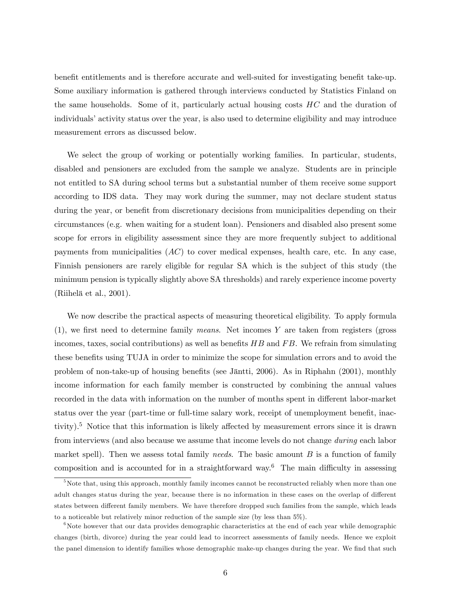benefit entitlements and is therefore accurate and well-suited for investigating benefit take-up. Some auxiliary information is gathered through interviews conducted by Statistics Finland on the same households. Some of it, particularly actual housing costs HC and the duration of individuals' activity status over the year, is also used to determine eligibility and may introduce measurement errors as discussed below.

We select the group of working or potentially working families. In particular, students, disabled and pensioners are excluded from the sample we analyze. Students are in principle not entitled to SA during school terms but a substantial number of them receive some support according to IDS data. They may work during the summer, may not declare student status during the year, or benefit from discretionary decisions from municipalities depending on their circumstances (e.g. when waiting for a student loan). Pensioners and disabled also present some scope for errors in eligibility assessment since they are more frequently subject to additional payments from municipalities  $(AC)$  to cover medical expenses, health care, etc. In any case, Finnish pensioners are rarely eligible for regular SA which is the subject of this study (the minimum pension is typically slightly above SA thresholds) and rarely experience income poverty  $(Riihela et al., 2001).$ 

We now describe the practical aspects of measuring theoretical eligibility. To apply formula  $(1)$ , we first need to determine family *means*. Net incomes Y are taken from registers (gross incomes, taxes, social contributions) as well as benefits  $HB$  and  $FB$ . We refrain from simulating these benefits using TUJA in order to minimize the scope for simulation errors and to avoid the problem of non-take-up of housing benefits (see Jäntti, 2006). As in Riphahn (2001), monthly income information for each family member is constructed by combining the annual values recorded in the data with information on the number of months spent in different labor-market status over the year (part-time or full-time salary work, receipt of unemployment benefit, inactivity).<sup>5</sup> Notice that this information is likely affected by measurement errors since it is drawn from interviews (and also because we assume that income levels do not change during each labor market spell). Then we assess total family needs. The basic amount  $B$  is a function of family composition and is accounted for in a straightforward way.<sup>6</sup> The main difficulty in assessing

 $5$ Note that, using this approach, monthly family incomes cannot be reconstructed reliably when more than one adult changes status during the year, because there is no information in these cases on the overlap of different states between different family members. We have therefore dropped such families from the sample, which leads to a noticeable but relatively minor reduction of the sample size (by less than 5%).

<sup>&</sup>lt;sup>6</sup>Note however that our data provides demographic characteristics at the end of each year while demographic changes (birth, divorce) during the year could lead to incorrect assessments of family needs. Hence we exploit the panel dimension to identify families whose demographic make-up changes during the year. We find that such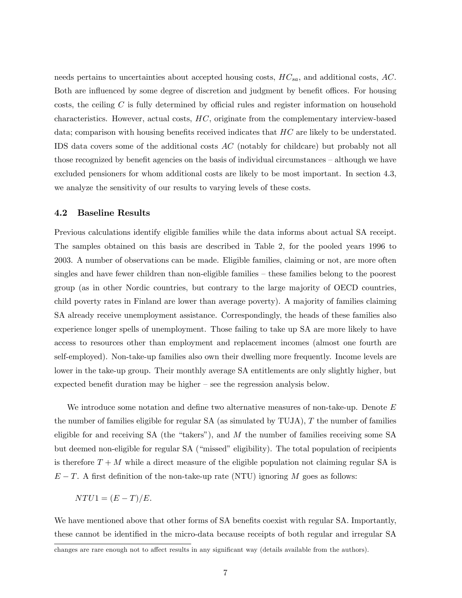needs pertains to uncertainties about accepted housing costs,  $HC_{sa}$ , and additional costs,  $AC$ . Both are influenced by some degree of discretion and judgment by benefit offices. For housing costs, the ceiling  $C$  is fully determined by official rules and register information on household characteristics. However, actual costs, HC, originate from the complementary interview-based data; comparison with housing benefits received indicates that  $HC$  are likely to be understated. IDS data covers some of the additional costs AC (notably for childcare) but probably not all those recognized by benefit agencies on the basis of individual circumstances  $-$  although we have excluded pensioners for whom additional costs are likely to be most important. In section 4.3, we analyze the sensitivity of our results to varying levels of these costs.

#### 4.2 Baseline Results

Previous calculations identify eligible families while the data informs about actual SA receipt. The samples obtained on this basis are described in Table 2, for the pooled years 1996 to 2003. A number of observations can be made. Eligible families, claiming or not, are more often singles and have fewer children than non-eligible families  $-$  these families belong to the poorest group (as in other Nordic countries, but contrary to the large majority of OECD countries, child poverty rates in Finland are lower than average poverty). A majority of families claiming SA already receive unemployment assistance. Correspondingly, the heads of these families also experience longer spells of unemployment. Those failing to take up SA are more likely to have access to resources other than employment and replacement incomes (almost one fourth are self-employed). Non-take-up families also own their dwelling more frequently. Income levels are lower in the take-up group. Their monthly average SA entitlements are only slightly higher, but expected benefit duration may be higher  $\sim$  see the regression analysis below.

We introduce some notation and define two alternative measures of non-take-up. Denote  $E$ the number of families eligible for regular  $SA$  (as simulated by TUJA), T the number of families eligible for and receiving SA (the "takers"), and  $M$  the number of families receiving some SA but deemed non-eligible for regular SA ("missed" eligibility). The total population of recipients is therefore  $T + M$  while a direct measure of the eligible population not claiming regular SA is  $E - T$ . A first definition of the non-take-up rate (NTU) ignoring M goes as follows:

 $NTU1 = (E-T)/E.$ 

We have mentioned above that other forms of SA benefits coexist with regular SA. Importantly, these cannot be identified in the micro-data because receipts of both regular and irregular SA

changes are rare enough not to affect results in any significant way (details available from the authors).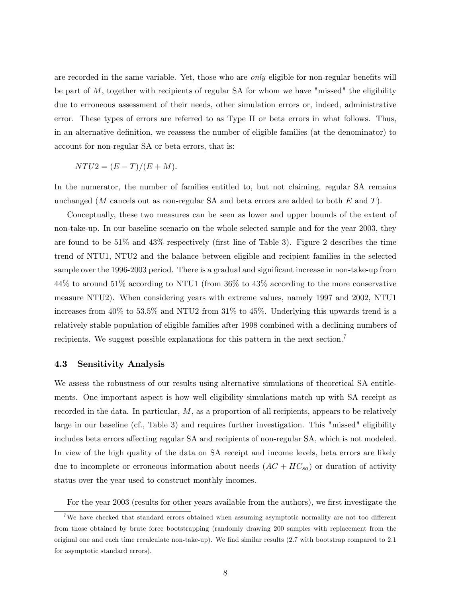are recorded in the same variable. Yet, those who are *only* eligible for non-regular benefits will be part of  $M$ , together with recipients of regular SA for whom we have "missed" the eligibility due to erroneous assessment of their needs, other simulation errors or, indeed, administrative error. These types of errors are referred to as Type II or beta errors in what follows. Thus, in an alternative definition, we reassess the number of eligible families (at the denominator) to account for non-regular SA or beta errors, that is:

$$
NTU2 = (E - T)/(E + M).
$$

In the numerator, the number of families entitled to, but not claiming, regular SA remains unchanged (M cancels out as non-regular SA and beta errors are added to both  $E$  and  $T$ ).

Conceptually, these two measures can be seen as lower and upper bounds of the extent of non-take-up. In our baseline scenario on the whole selected sample and for the year 2003, they are found to be  $51\%$  and  $43\%$  respectively (first line of Table 3). Figure 2 describes the time trend of NTU1, NTU2 and the balance between eligible and recipient families in the selected sample over the 1996-2003 period. There is a gradual and significant increase in non-take-up from 44% to around 51% according to NTU1 (from 36% to 43% according to the more conservative measure NTU2). When considering years with extreme values, namely 1997 and 2002, NTU1 increases from 40% to 53:5% and NTU2 from 31% to 45%. Underlying this upwards trend is a relatively stable population of eligible families after 1998 combined with a declining numbers of recipients. We suggest possible explanations for this pattern in the next section.<sup>7</sup>

#### 4.3 Sensitivity Analysis

We assess the robustness of our results using alternative simulations of theoretical SA entitlements. One important aspect is how well eligibility simulations match up with SA receipt as recorded in the data. In particular,  $M$ , as a proportion of all recipients, appears to be relatively large in our baseline (cf., Table 3) and requires further investigation. This "missed" eligibility includes beta errors affecting regular SA and recipients of non-regular SA, which is not modeled. In view of the high quality of the data on SA receipt and income levels, beta errors are likely due to incomplete or erroneous information about needs  $(AC + HC_{sa})$  or duration of activity status over the year used to construct monthly incomes.

For the year 2003 (results for other years available from the authors), we first investigate the

<sup>&</sup>lt;sup>7</sup>We have checked that standard errors obtained when assuming asymptotic normality are not too different from those obtained by brute force bootstrapping (randomly drawing 200 samples with replacement from the original one and each time recalculate non-take-up). We find similar results (2.7 with bootstrap compared to 2.1 for asymptotic standard errors).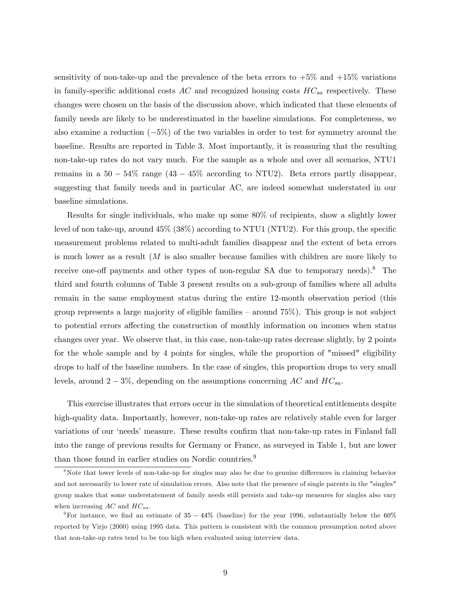sensitivity of non-take-up and the prevalence of the beta errors to  $+5\%$  and  $+15\%$  variations in family-specific additional costs  $AC$  and recognized housing costs  $HC_{sa}$  respectively. These changes were chosen on the basis of the discussion above, which indicated that these elements of family needs are likely to be underestimated in the baseline simulations. For completeness, we also examine a reduction  $(-5\%)$  of the two variables in order to test for symmetry around the baseline. Results are reported in Table 3. Most importantly, it is reassuring that the resulting non-take-up rates do not vary much. For the sample as a whole and over all scenarios, NTU1 remains in a  $50 - 54\%$  range  $(43 - 45\%$  according to NTU2). Beta errors partly disappear, suggesting that family needs and in particular AC, are indeed somewhat understated in our baseline simulations.

Results for single individuals, who make up some 80% of recipients, show a slightly lower level of non take-up, around  $45\%$  ( $38\%$ ) according to NTU1 (NTU2). For this group, the specific measurement problems related to multi-adult families disappear and the extent of beta errors is much lower as a result (M is also smaller because families with children are more likely to receive one-off payments and other types of non-regular SA due to temporary needs).<sup>8</sup> The third and fourth columns of Table 3 present results on a sub-group of families where all adults remain in the same employment status during the entire 12-month observation period (this group represents a large majority of eligible families  $-$  around 75%). This group is not subject to potential errors affecting the construction of monthly information on incomes when status changes over year. We observe that, in this case, non-take-up rates decrease slightly, by 2 points for the whole sample and by 4 points for singles, while the proportion of "missed" eligibility drops to half of the baseline numbers. In the case of singles, this proportion drops to very small levels, around  $2-3\%$ , depending on the assumptions concerning AC and  $HC_{sa}$ .

This exercise illustrates that errors occur in the simulation of theoretical entitlements despite high-quality data. Importantly, however, non-take-up rates are relatively stable even for larger variations of our 'needs' measure. These results confirm that non-take-up rates in Finland fall into the range of previous results for Germany or France, as surveyed in Table 1, but are lower than those found in earlier studies on Nordic countries.<sup>9</sup>

<sup>&</sup>lt;sup>8</sup>Note that lower levels of non-take-up for singles may also be due to genuine differences in claiming behavior and not necessarily to lower rate of simulation errors. Also note that the presence of single parents in the "singles" group makes that some understatement of family needs still persists and take-up measures for singles also vary when increasing  $AC$  and  $HC_{sa}$ .

<sup>&</sup>lt;sup>9</sup>For instance, we find an estimate of  $35 - 44\%$  (baseline) for the year 1996, substantially below the 60% reported by Virjo (2000) using 1995 data. This pattern is consistent with the common presumption noted above that non-take-up rates tend to be too high when evaluated using interview data.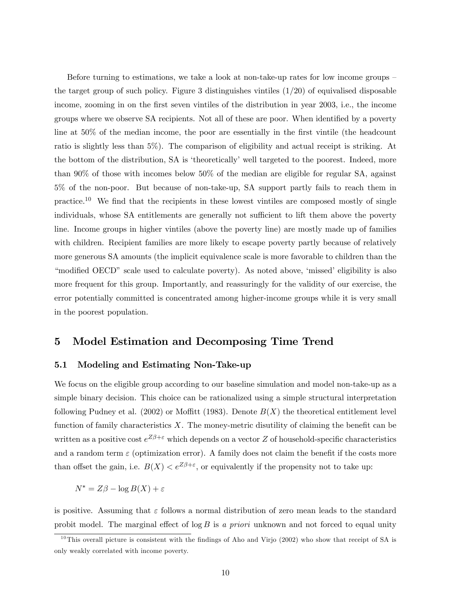Before turning to estimations, we take a look at non-take-up rates for low income groups  $-\frac{1}{2}$ the target group of such policy. Figure 3 distinguishes vintiles  $(1/20)$  of equivalised disposable income, zooming in on the first seven vintiles of the distribution in year 2003, i.e., the income groups where we observe SA recipients. Not all of these are poor. When identified by a poverty line at 50% of the median income, the poor are essentially in the first vintile (the headcount ratio is slightly less than 5%). The comparison of eligibility and actual receipt is striking. At the bottom of the distribution, SA is 'theoretically' well targeted to the poorest. Indeed, more than 90% of those with incomes below 50% of the median are eligible for regular SA, against 5% of the non-poor. But because of non-take-up, SA support partly fails to reach them in practice.<sup>10</sup> We find that the recipients in these lowest vintiles are composed mostly of single individuals, whose SA entitlements are generally not sufficient to lift them above the poverty line. Income groups in higher vintiles (above the poverty line) are mostly made up of families with children. Recipient families are more likely to escape poverty partly because of relatively more generous SA amounts (the implicit equivalence scale is more favorable to children than the "modified OECD" scale used to calculate poverty). As noted above, 'missed' eligibility is also more frequent for this group. Importantly, and reassuringly for the validity of our exercise, the error potentially committed is concentrated among higher-income groups while it is very small in the poorest population.

# 5 Model Estimation and Decomposing Time Trend

#### 5.1 Modeling and Estimating Non-Take-up

We focus on the eligible group according to our baseline simulation and model non-take-up as a simple binary decision. This choice can be rationalized using a simple structural interpretation following Pudney et al. (2002) or Moffitt (1983). Denote  $B(X)$  the theoretical entitlement level function of family characteristics  $X$ . The money-metric disutility of claiming the benefit can be written as a positive cost  $e^{Z\beta+\varepsilon}$  which depends on a vector Z of household-specific characteristics and a random term  $\varepsilon$  (optimization error). A family does not claim the benefit if the costs more than offset the gain, i.e.  $B(X) < e^{Z\beta + \varepsilon}$ , or equivalently if the propensity not to take up:

$$
N^* = Z\beta - \log B(X) + \varepsilon
$$

is positive. Assuming that  $\varepsilon$  follows a normal distribution of zero mean leads to the standard probit model. The marginal effect of  $\log B$  is a priori unknown and not forced to equal unity

 $10$ This overall picture is consistent with the findings of Aho and Virjo (2002) who show that receipt of SA is only weakly correlated with income poverty.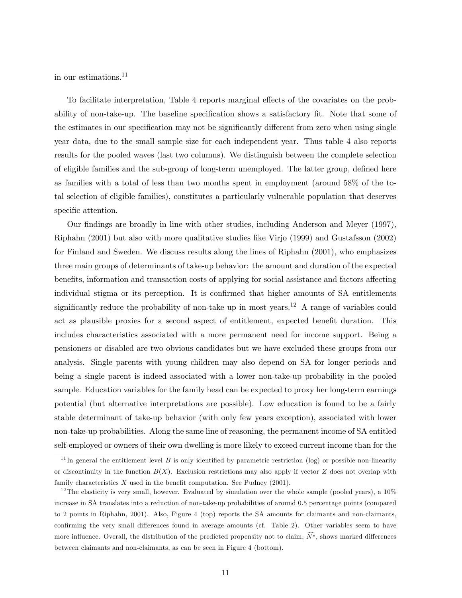in our estimations.<sup>11</sup>

To facilitate interpretation, Table 4 reports marginal effects of the covariates on the probability of non-take-up. The baseline specification shows a satisfactory fit. Note that some of the estimates in our specification may not be significantly different from zero when using single year data, due to the small sample size for each independent year. Thus table 4 also reports results for the pooled waves (last two columns). We distinguish between the complete selection of eligible families and the sub-group of long-term unemployed. The latter group, defined here as families with a total of less than two months spent in employment (around 58% of the total selection of eligible families), constitutes a particularly vulnerable population that deserves specific attention.

Our findings are broadly in line with other studies, including Anderson and Meyer (1997), Riphahn (2001) but also with more qualitative studies like Virjo (1999) and Gustafsson (2002) for Finland and Sweden. We discuss results along the lines of Riphahn (2001), who emphasizes three main groups of determinants of take-up behavior: the amount and duration of the expected benefits, information and transaction costs of applying for social assistance and factors affecting individual stigma or its perception. It is confirmed that higher amounts of SA entitlements significantly reduce the probability of non-take up in most years.<sup>12</sup> A range of variables could act as plausible proxies for a second aspect of entitlement, expected benefit duration. This includes characteristics associated with a more permanent need for income support. Being a pensioners or disabled are two obvious candidates but we have excluded these groups from our analysis. Single parents with young children may also depend on SA for longer periods and being a single parent is indeed associated with a lower non-take-up probability in the pooled sample. Education variables for the family head can be expected to proxy her long-term earnings potential (but alternative interpretations are possible). Low education is found to be a fairly stable determinant of take-up behavior (with only few years exception), associated with lower non-take-up probabilities. Along the same line of reasoning, the permanent income of SA entitled self-employed or owners of their own dwelling is more likely to exceed current income than for the

 $11$  In general the entitlement level B is only identified by parametric restriction (log) or possible non-linearity or discontinuity in the function  $B(X)$ . Exclusion restrictions may also apply if vector Z does not overlap with family characteristics  $X$  used in the benefit computation. See Pudney (2001).

<sup>&</sup>lt;sup>12</sup>The elasticity is very small, however. Evaluated by simulation over the whole sample (pooled years), a  $10\%$ increase in SA translates into a reduction of non-take-up probabilities of around 0.5 percentage points (compared to 2 points in Riphahn, 2001). Also, Figure 4 (top) reports the SA amounts for claimants and non-claimants, confirming the very small differences found in average amounts (cf. Table 2). Other variables seem to have more influence. Overall, the distribution of the predicted propensity not to claim,  $\widehat{N^*}$ , shows marked differences between claimants and non-claimants, as can be seen in Figure 4 (bottom).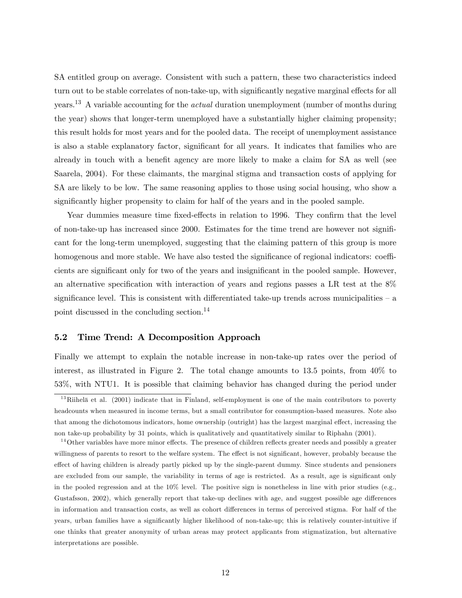SA entitled group on average. Consistent with such a pattern, these two characteristics indeed turn out to be stable correlates of non-take-up, with significantly negative marginal effects for all years.<sup>13</sup> A variable accounting for the actual duration unemployment (number of months during the year) shows that longer-term unemployed have a substantially higher claiming propensity; this result holds for most years and for the pooled data. The receipt of unemployment assistance is also a stable explanatory factor, significant for all years. It indicates that families who are already in touch with a benefit agency are more likely to make a claim for SA as well (see Saarela, 2004). For these claimants, the marginal stigma and transaction costs of applying for SA are likely to be low. The same reasoning applies to those using social housing, who show a significantly higher propensity to claim for half of the years and in the pooled sample.

Year dummies measure time fixed-effects in relation to 1996. They confirm that the level of non-take-up has increased since 2000. Estimates for the time trend are however not significant for the long-term unemployed, suggesting that the claiming pattern of this group is more homogenous and more stable. We have also tested the significance of regional indicators: coefficients are significant only for two of the years and insignificant in the pooled sample. However, an alternative specification with interaction of years and regions passes a LR test at the  $8\%$ significance level. This is consistent with differentiated take-up trends across municipalities  $-\alpha$ point discussed in the concluding section.<sup>14</sup>

#### 5.2 Time Trend: A Decomposition Approach

Finally we attempt to explain the notable increase in non-take-up rates over the period of interest, as illustrated in Figure 2. The total change amounts to 13:5 points, from 40% to 53%, with NTU1. It is possible that claiming behavior has changed during the period under

<sup>&</sup>lt;sup>13</sup>Riihelä et al. (2001) indicate that in Finland, self-employment is one of the main contributors to poverty headcounts when measured in income terms, but a small contributor for consumption-based measures. Note also that among the dichotomous indicators, home ownership (outright) has the largest marginal effect, increasing the non take-up probability by 31 points, which is qualitatively and quantitatively similar to Riphahn (2001).

 $14$ Other variables have more minor effects. The presence of children reflects greater needs and possibly a greater willingness of parents to resort to the welfare system. The effect is not significant, however, probably because the effect of having children is already partly picked up by the single-parent dummy. Since students and pensioners are excluded from our sample, the variability in terms of age is restricted. As a result, age is significant only in the pooled regression and at the 10% level. The positive sign is nonetheless in line with prior studies (e.g., Gustafsson, 2002), which generally report that take-up declines with age, and suggest possible age differences in information and transaction costs, as well as cohort differences in terms of perceived stigma. For half of the years, urban families have a significantly higher likelihood of non-take-up; this is relatively counter-intuitive if one thinks that greater anonymity of urban areas may protect applicants from stigmatization, but alternative interpretations are possible.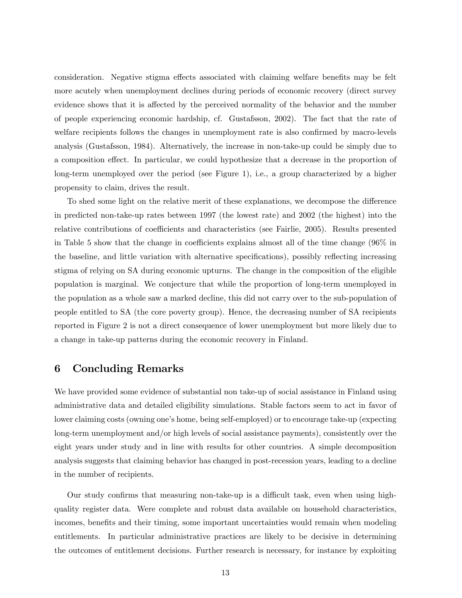consideration. Negative stigma effects associated with claiming welfare benefits may be felt more acutely when unemployment declines during periods of economic recovery (direct survey evidence shows that it is affected by the perceived normality of the behavior and the number of people experiencing economic hardship, cf. Gustafsson, 2002). The fact that the rate of welfare recipients follows the changes in unemployment rate is also confirmed by macro-levels analysis (Gustafsson, 1984). Alternatively, the increase in non-take-up could be simply due to a composition effect. In particular, we could hypothesize that a decrease in the proportion of long-term unemployed over the period (see Figure 1), i.e., a group characterized by a higher propensity to claim, drives the result.

To shed some light on the relative merit of these explanations, we decompose the difference in predicted non-take-up rates between 1997 (the lowest rate) and 2002 (the highest) into the relative contributions of coefficients and characteristics (see Fairlie, 2005). Results presented in Table 5 show that the change in coefficients explains almost all of the time change  $(96\%$  in the baseline, and little variation with alternative specifications), possibly reflecting increasing stigma of relying on SA during economic upturns. The change in the composition of the eligible population is marginal. We conjecture that while the proportion of long-term unemployed in the population as a whole saw a marked decline, this did not carry over to the sub-population of people entitled to SA (the core poverty group). Hence, the decreasing number of SA recipients reported in Figure 2 is not a direct consequence of lower unemployment but more likely due to a change in take-up patterns during the economic recovery in Finland.

# 6 Concluding Remarks

We have provided some evidence of substantial non take-up of social assistance in Finland using administrative data and detailed eligibility simulations. Stable factors seem to act in favor of lower claiming costs (owning one's home, being self-employed) or to encourage take-up (expecting long-term unemployment and/or high levels of social assistance payments), consistently over the eight years under study and in line with results for other countries. A simple decomposition analysis suggests that claiming behavior has changed in post-recession years, leading to a decline in the number of recipients.

Our study confirms that measuring non-take-up is a difficult task, even when using highquality register data. Were complete and robust data available on household characteristics, incomes, benefits and their timing, some important uncertainties would remain when modeling entitlements. In particular administrative practices are likely to be decisive in determining the outcomes of entitlement decisions. Further research is necessary, for instance by exploiting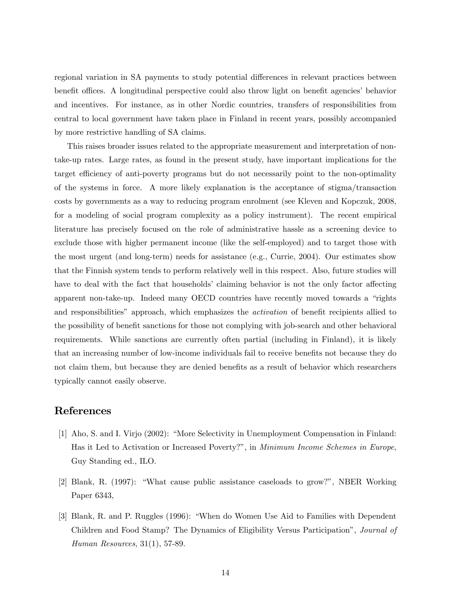regional variation in SA payments to study potential differences in relevant practices between benefit offices. A longitudinal perspective could also throw light on benefit agencies' behavior and incentives. For instance, as in other Nordic countries, transfers of responsibilities from central to local government have taken place in Finland in recent years, possibly accompanied by more restrictive handling of SA claims.

This raises broader issues related to the appropriate measurement and interpretation of nontake-up rates. Large rates, as found in the present study, have important implications for the target efficiency of anti-poverty programs but do not necessarily point to the non-optimality of the systems in force. A more likely explanation is the acceptance of stigma/transaction costs by governments as a way to reducing program enrolment (see Kleven and Kopczuk, 2008, for a modeling of social program complexity as a policy instrument). The recent empirical literature has precisely focused on the role of administrative hassle as a screening device to exclude those with higher permanent income (like the self-employed) and to target those with the most urgent (and long-term) needs for assistance (e.g., Currie, 2004). Our estimates show that the Finnish system tends to perform relatively well in this respect. Also, future studies will have to deal with the fact that households' claiming behavior is not the only factor affecting apparent non-take-up. Indeed many OECD countries have recently moved towards a "rights" and responsibilities" approach, which emphasizes the *activation* of benefit recipients allied to the possibility of benefit sanctions for those not complying with job-search and other behavioral requirements. While sanctions are currently often partial (including in Finland), it is likely that an increasing number of low-income individuals fail to receive benefits not because they do not claim them, but because they are denied benefits as a result of behavior which researchers typically cannot easily observe.

### References

- [1] Aho, S. and I. Virjo (2002): "More Selectivity in Unemployment Compensation in Finland: Has it Led to Activation or Increased Poverty?", in *Minimum Income Schemes in Europe*, Guy Standing ed., ILO.
- [2] Blank, R. (1997): "What cause public assistance caseloads to grow?", NBER Working Paper 6343,
- [3] Blank, R. and P. Ruggles (1996): "When do Women Use Aid to Families with Dependent Children and Food Stamp? The Dynamics of Eligibility Versus Participation", *Journal of* Human Resources, 31(1), 57-89.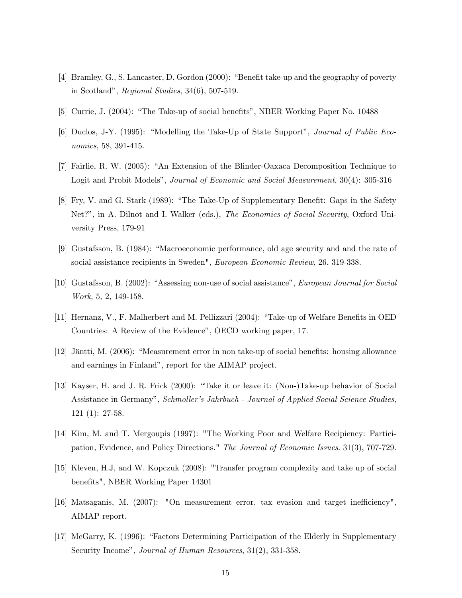- [4] Bramley, G., S. Lancaster, D. Gordon (2000): "Benefit take-up and the geography of poverty in Scotland", Regional Studies,  $34(6)$ ,  $507-519$ .
- [5] Currie, J. (2004): "The Take-up of social benefits", NBER Working Paper No. 10488
- [6] Duclos, J-Y. (1995): "Modelling the Take-Up of State Support", *Journal of Public Eco*nomics, 58, 391-415.
- [7] Fairlie, R. W. (2005): "An Extension of the Blinder-Oaxaca Decomposition Technique to Logit and Probit Modelsî, Journal of Economic and Social Measurement, 30(4): 305-316
- [8] Fry, V. and G. Stark (1989): "The Take-Up of Supplementary Benefit: Gaps in the Safety Net?", in A. Dilnot and I. Walker (eds.), *The Economics of Social Security*, Oxford University Press, 179-91
- [9] Gustafsson, B. (1984): "Macroeconomic performance, old age security and and the rate of social assistance recipients in Sweden", European Economic Review, 26, 319-338.
- [10] Gustafsson, B. (2002): "Assessing non-use of social assistance", European Journal for Social Work, 5, 2, 149-158.
- [11] Hernanz, V., F. Malherbert and M. Pellizzari (2004): "Take-up of Welfare Benefits in OED Countries: A Review of the Evidence", OECD working paper, 17.
- [12] Jäntti, M. (2006): "Measurement error in non take-up of social benefits: housing allowance and earnings in Finland", report for the AIMAP project.
- [13] Kayser, H. and J. R. Frick (2000): "Take it or leave it: (Non-)Take-up behavior of Social Assistance in Germany", Schmoller's Jahrbuch - Journal of Applied Social Science Studies, 121 (1): 27-58.
- [14] Kim, M. and T. Mergoupis (1997): "The Working Poor and Welfare Recipiency: Participation, Evidence, and Policy Directions." The Journal of Economic Issues. 31(3), 707-729.
- [15] Kleven, H.J, and W. Kopczuk (2008): "Transfer program complexity and take up of social benefits", NBER Working Paper 14301
- [16] Matsaganis, M.  $(2007)$ : "On measurement error, tax evasion and target inefficiency", AIMAP report.
- [17] McGarry, K. (1996): "Factors Determining Participation of the Elderly in Supplementary Security Income", *Journal of Human Resources*, 31(2), 331-358.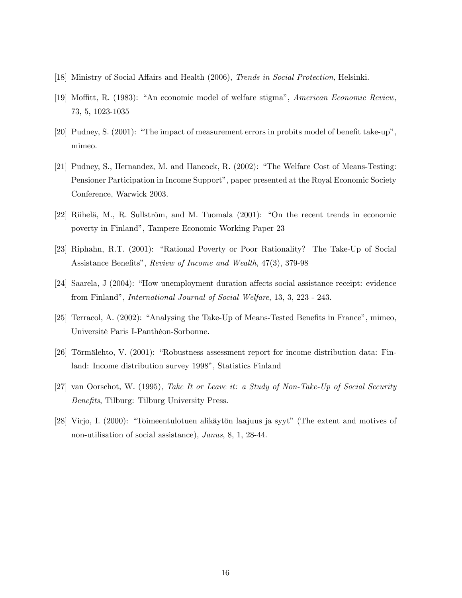- [18] Ministry of Social Affairs and Health (2006), Trends in Social Protection, Helsinki.
- [19] Moffitt, R. (1983): "An economic model of welfare stigma", American Economic Review, 73, 5, 1023-1035
- [20] Pudney, S.  $(2001)$ : "The impact of measurement errors in probits model of benefit take-up", mimeo.
- [21] Pudney, S., Hernandez, M. and Hancock, R. (2002): "The Welfare Cost of Means-Testing: Pensioner Participation in Income Support", paper presented at the Royal Economic Society Conference, Warwick 2003.
- [22] Riihelä, M., R. Sullström, and M. Tuomala  $(2001)$ : "On the recent trends in economic poverty in Finlandî, Tampere Economic Working Paper 23
- [23] Riphahn, R.T. (2001): "Rational Poverty or Poor Rationality? The Take-Up of Social Assistance Benefits", Review of Income and Wealth, 47(3), 379-98
- [24] Saarela, J  $(2004)$ : "How unemployment duration affects social assistance receipt: evidence from Finland", *International Journal of Social Welfare*, 13, 3, 223 - 243.
- [25] Terracol, A.  $(2002)$ : "Analysing the Take-Up of Means-Tested Benefits in France", mimeo, Université Paris I-Panthéon-Sorbonne.
- [26] Törmälehto, V. (2001): "Robustness assessment report for income distribution data: Finland: Income distribution survey 1998", Statistics Finland
- [27] van Oorschot, W. (1995), Take It or Leave it: a Study of Non-Take-Up of Social Security Benefits, Tilburg: Tilburg University Press.
- [28] Virjo, I. (2000): "Toimeentulotuen alikäytön laajuus ja syyt" (The extent and motives of non-utilisation of social assistance), Janus, 8, 1, 28-44.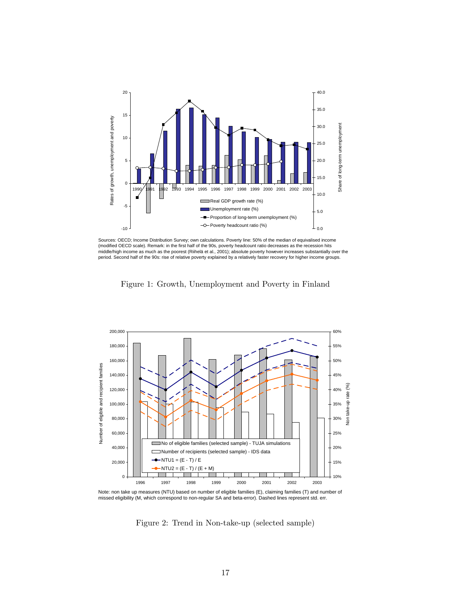

Sources: OECD; Income Distribution Survey; own calculations. Poverty line: 50% of the median of equivalised income<br>(modified OECD scale). Remark: in the first half of the 90s, poverty headcount ratio decreases as the rece period. Second half of the 90s: rise of relative poverty explained by a relatively faster recovery for higher income groups.

Figure 1: Growth, Unemployment and Poverty in Finland



Note: non take up measures (NTU) based on number of eligible families (E), claiming families (T) and number of missed eligibility (M, which correspond to non-regular SA and beta-error). Dashed lines represent std. err.

Figure 2: Trend in Non-take-up (selected sample)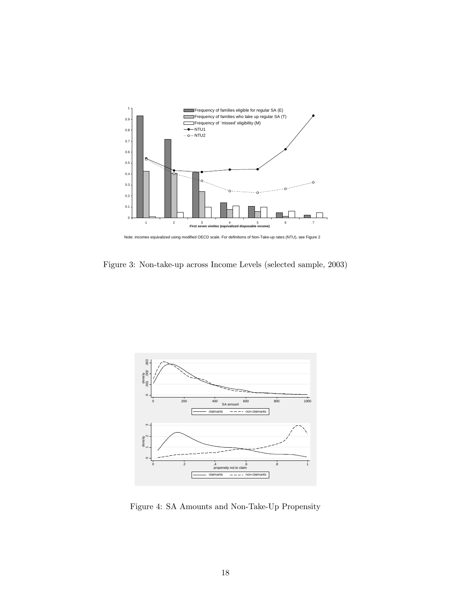

Note: incomes equivalized using modified OECD scale. For definitions of Non-Take-up rates (NTU), see Figure 2

Figure 3: Non-take-up across Income Levels (selected sample, 2003)



Figure 4: SA Amounts and Non-Take-Up Propensity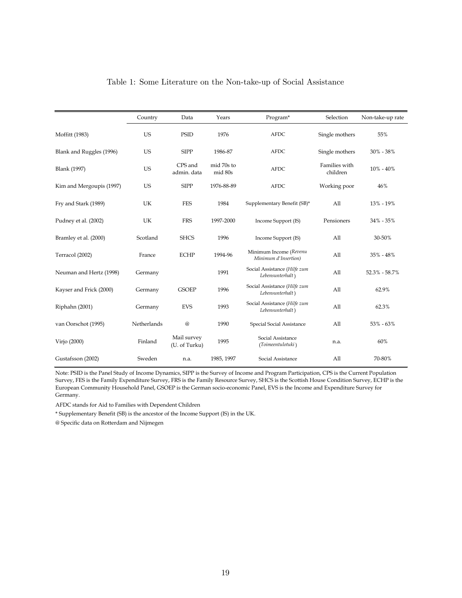|                          | Country     | Data                         | Years                 | Program*                                         | Selection                 | Non-take-up rate |
|--------------------------|-------------|------------------------------|-----------------------|--------------------------------------------------|---------------------------|------------------|
| Moffitt (1983)           | <b>US</b>   | <b>PSID</b>                  | 1976                  | <b>AFDC</b>                                      | Single mothers            | 55%              |
| Blank and Ruggles (1996) | <b>US</b>   | <b>SIPP</b>                  | 1986-87               | <b>AFDC</b>                                      | Single mothers            | $30\% - 38\%$    |
| Blank (1997)             | <b>US</b>   | CPS and<br>admin, data       | mid 70s to<br>mid 80s | <b>AFDC</b>                                      | Families with<br>children | $10\% - 40\%$    |
| Kim and Mergoupis (1997) | <b>US</b>   | <b>SIPP</b>                  | 1976-88-89            | <b>AFDC</b>                                      | Working poor              | 46%              |
| Fry and Stark (1989)     | <b>UK</b>   | <b>FES</b>                   | 1984                  | Supplementary Benefit (SB)*                      | All                       | 13% - 19%        |
| Pudney et al. (2002)     | UK          | <b>FRS</b>                   | 1997-2000             | Income Support (IS)                              | Pensioners                | 34% - 35%        |
| Bramley et al. (2000)    | Scotland    | <b>SHCS</b>                  | 1996                  | Income Support (IS)                              | All                       | 30-50%           |
| Terracol (2002)          | France      | <b>ECHP</b>                  | 1994-96               | Minimum Income (Revenu<br>Minimum d'Insertion)   | All                       | 35% - 48%        |
| Neuman and Hertz (1998)  | Germany     |                              | 1991                  | Social Assistance (Hilfe zum<br>Lebensunterhalt) | All                       | 52.3% - 58.7%    |
| Kayser and Frick (2000)  | Germany     | <b>GSOEP</b>                 | 1996                  | Social Assistance (Hilfe zum<br>Lebensunterhalt) | All                       | 62.9%            |
| Riphahn (2001)           | Germany     | <b>EVS</b>                   | 1993                  | Social Assistance (Hilfe zum<br>Lebensunterhalt) | All                       | 62.3%            |
| van Oorschot (1995)      | Netherlands | $^\text{\textregistered}$    | 1990                  | Special Social Assistance                        | A11                       | $53\% - 63\%$    |
| Virjo (2000)             | Finland     | Mail survey<br>(U. of Turku) | 1995                  | Social Assistance<br>(Toimeentulotuki)           | n.a.                      | 60%              |
| Gustafsson (2002)        | Sweden      | n.a.                         | 1985, 1997            | Social Assistance                                | All                       | 70-80%           |

#### Table 1: Some Literature on the Non-take-up of Social Assistance

Note: PSID is the Panel Study of Income Dynamics, SIPP is the Survey of Income and Program Participation, CPS is the Current Population Survey, FES is the Family Expenditure Survey, FRS is the Family Resource Survey, SHCS is the Scottish House Condition Survey, ECHP is the European Community Household Panel, GSOEP is the German socio-economic Panel, EVS is the Income and Expenditure Survey for Germany.

AFDC stands for Aid to Families with Dependent Children

\* Supplementary Benefit (SB) is the ancestor of the Income Support (IS) in the UK.

@ Specific data on Rotterdam and Nijmegen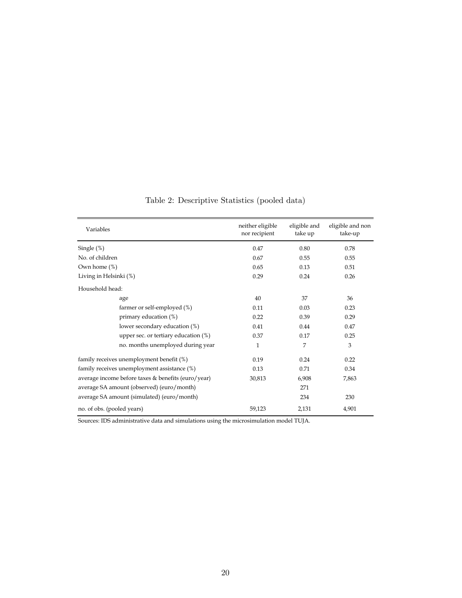| Variables                                          | neither eligible<br>nor recipient | eligible and<br>take up | eligible and non<br>take-up |  |
|----------------------------------------------------|-----------------------------------|-------------------------|-----------------------------|--|
| Single $(\%)$                                      | 0.47                              | 0.80                    | 0.78                        |  |
| No. of children                                    | 0.67                              | 0.55                    | 0.55                        |  |
| Own home $(\%)$                                    | 0.65                              | 0.13                    | 0.51                        |  |
| Living in Helsinki (%)                             | 0.29                              | 0.24                    | 0.26                        |  |
| Household head:                                    |                                   |                         |                             |  |
| age                                                | 40                                | 37                      | 36                          |  |
| farmer or self-employed (%)                        | 0.11                              | 0.03                    | 0.23                        |  |
| primary education (%)                              | 0.22                              | 0.39                    | 0.29                        |  |
| lower secondary education (%)                      | 0.41                              | 0.44                    | 0.47                        |  |
| upper sec. or tertiary education (%)               | 0.37                              | 0.17                    | 0.25                        |  |
| no. months unemployed during year                  | 1                                 | 7                       | 3                           |  |
| family receives unemployment benefit (%)           | 0.19                              | 0.24                    | 0.22                        |  |
| family receives unemployment assistance (%)        | 0.13                              | 0.71                    | 0.34                        |  |
| average income before taxes & benefits (euro/year) | 30,813                            | 6,908                   | 7,863                       |  |
| average SA amount (observed) (euro/month)          |                                   | 271                     |                             |  |
| average SA amount (simulated) (euro/month)         |                                   | 234                     | 230                         |  |
| no. of obs. (pooled years)                         | 59,123                            | 2,131                   | 4,901                       |  |

Table 2: Descriptive Statistics (pooled data)

Sources: IDS administrative data and simulations using the microsimulation model TUJA.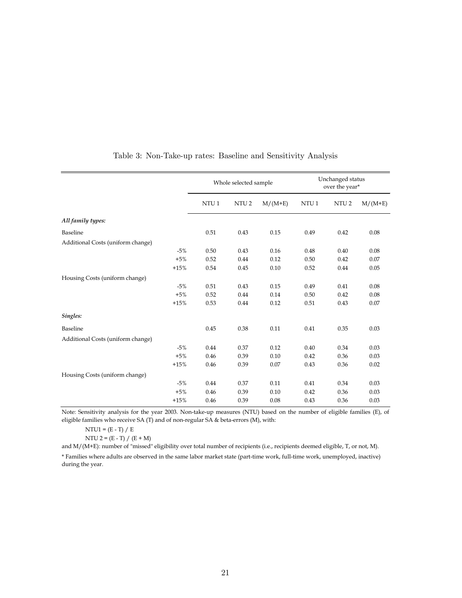|                                   |        | Whole selected sample |                  |           | Unchanged status<br>over the year* |                  |           |
|-----------------------------------|--------|-----------------------|------------------|-----------|------------------------------------|------------------|-----------|
|                                   |        | NTU <sub>1</sub>      | NTU <sub>2</sub> | $M/(M+E)$ | NTU <sub>1</sub>                   | NTU <sub>2</sub> | $M/(M+E)$ |
| All family types:                 |        |                       |                  |           |                                    |                  |           |
| Baseline                          |        | 0.51                  | 0.43             | 0.15      | 0.49                               | 0.42             | 0.08      |
| Additional Costs (uniform change) |        |                       |                  |           |                                    |                  |           |
|                                   | $-5%$  | 0.50                  | 0.43             | 0.16      | 0.48                               | 0.40             | 0.08      |
|                                   | $+5%$  | 0.52                  | 0.44             | 0.12      | 0.50                               | 0.42             | 0.07      |
|                                   | $+15%$ | 0.54                  | 0.45             | 0.10      | 0.52                               | 0.44             | 0.05      |
| Housing Costs (uniform change)    |        |                       |                  |           |                                    |                  |           |
|                                   | $-5%$  | 0.51                  | 0.43             | 0.15      | 0.49                               | 0.41             | 0.08      |
|                                   | $+5%$  | 0.52                  | 0.44             | 0.14      | 0.50                               | 0.42             | 0.08      |
|                                   | $+15%$ | 0.53                  | 0.44             | 0.12      | 0.51                               | 0.43             | 0.07      |
| Singles:                          |        |                       |                  |           |                                    |                  |           |
| Baseline                          |        | 0.45                  | 0.38             | 0.11      | 0.41                               | 0.35             | 0.03      |
| Additional Costs (uniform change) |        |                       |                  |           |                                    |                  |           |
|                                   | $-5%$  | 0.44                  | 0.37             | 0.12      | 0.40                               | 0.34             | 0.03      |
|                                   | $+5%$  | 0.46                  | 0.39             | 0.10      | 0.42                               | 0.36             | 0.03      |
|                                   | $+15%$ | 0.46                  | 0.39             | 0.07      | 0.43                               | 0.36             | 0.02      |
| Housing Costs (uniform change)    |        |                       |                  |           |                                    |                  |           |
|                                   | $-5%$  | 0.44                  | 0.37             | 0.11      | 0.41                               | 0.34             | 0.03      |
|                                   | $+5%$  | 0.46                  | 0.39             | 0.10      | 0.42                               | 0.36             | 0.03      |
|                                   | $+15%$ | 0.46                  | 0.39             | 0.08      | 0.43                               | 0.36             | 0.03      |

### Table 3: Non-Take-up rates: Baseline and Sensitivity Analysis

Note: Sensitivity analysis for the year 2003. Non-take-up measures (NTU) based on the number of eligible families (E), of eligible families who receive SA (T) and of non-regular SA & beta-errors (M), with:

 $NTU1 = (E - T) / E$ 

NTU 2 =  $(E - T) / (E + M)$ 

and M/(M+E): number of "missed" eligibility over total number of recipients (i.e., recipients deemed eligible, T, or not, M).

\* Families where adults are observed in the same labor market state (part-time work, full-time work, unemployed, inactive) during the year.